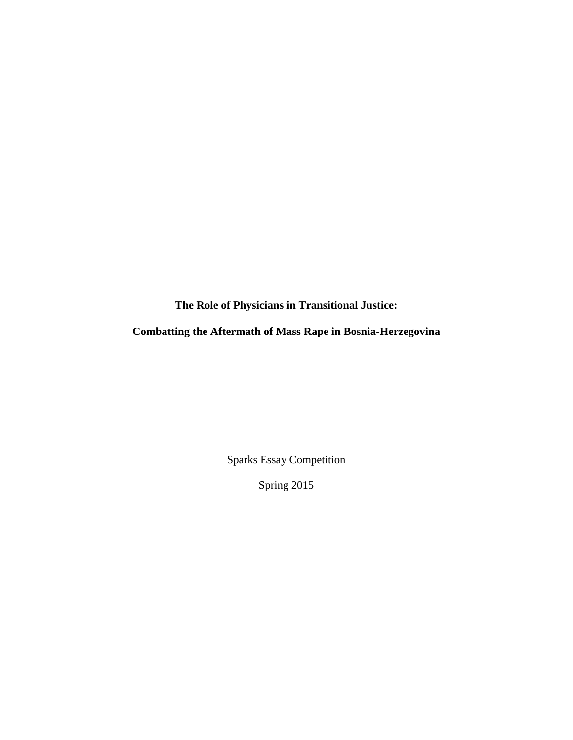**The Role of Physicians in Transitional Justice:** 

**Combatting the Aftermath of Mass Rape in Bosnia-Herzegovina** 

Sparks Essay Competition

Spring 2015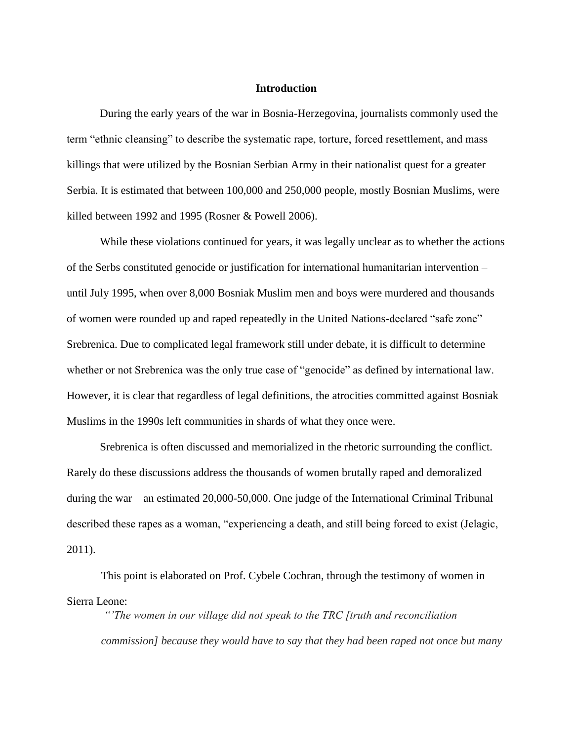### **Introduction**

During the early years of the war in Bosnia-Herzegovina, journalists commonly used the term "ethnic cleansing" to describe the systematic rape, torture, forced resettlement, and mass killings that were utilized by the Bosnian Serbian Army in their nationalist quest for a greater Serbia. It is estimated that between 100,000 and 250,000 people, mostly Bosnian Muslims, were killed between 1992 and 1995 (Rosner & Powell 2006).

While these violations continued for years, it was legally unclear as to whether the actions of the Serbs constituted genocide or justification for international humanitarian intervention – until July 1995, when over 8,000 Bosniak Muslim men and boys were murdered and thousands of women were rounded up and raped repeatedly in the United Nations-declared "safe zone" Srebrenica. Due to complicated legal framework still under debate, it is difficult to determine whether or not Srebrenica was the only true case of "genocide" as defined by international law. However, it is clear that regardless of legal definitions, the atrocities committed against Bosniak Muslims in the 1990s left communities in shards of what they once were.

Srebrenica is often discussed and memorialized in the rhetoric surrounding the conflict. Rarely do these discussions address the thousands of women brutally raped and demoralized during the war – an estimated 20,000-50,000. One judge of the International Criminal Tribunal described these rapes as a woman, "experiencing a death, and still being forced to exist (Jelagic, 2011).

This point is elaborated on Prof. Cybele Cochran, through the testimony of women in Sierra Leone:

*"'The women in our village did not speak to the TRC [truth and reconciliation commission] because they would have to say that they had been raped not once but many*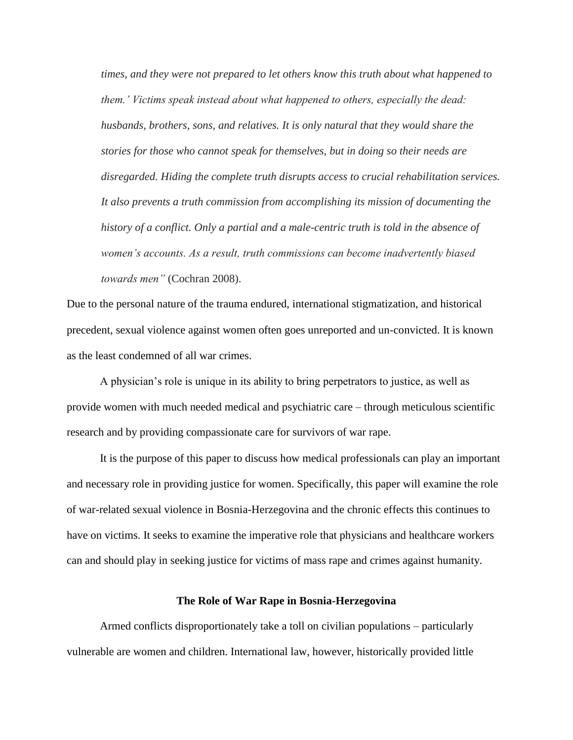*times, and they were not prepared to let others know this truth about what happened to them.' Victims speak instead about what happened to others, especially the dead: husbands, brothers, sons, and relatives. It is only natural that they would share the stories for those who cannot speak for themselves, but in doing so their needs are disregarded. Hiding the complete truth disrupts access to crucial rehabilitation services. It also prevents a truth commission from accomplishing its mission of documenting the history of a conflict. Only a partial and a male-centric truth is told in the absence of women's accounts. As a result, truth commissions can become inadvertently biased towards men"* (Cochran 2008).

Due to the personal nature of the trauma endured, international stigmatization, and historical precedent, sexual violence against women often goes unreported and un-convicted. It is known as the least condemned of all war crimes.

A physician's role is unique in its ability to bring perpetrators to justice, as well as provide women with much needed medical and psychiatric care – through meticulous scientific research and by providing compassionate care for survivors of war rape.

It is the purpose of this paper to discuss how medical professionals can play an important and necessary role in providing justice for women. Specifically, this paper will examine the role of war-related sexual violence in Bosnia-Herzegovina and the chronic effects this continues to have on victims. It seeks to examine the imperative role that physicians and healthcare workers can and should play in seeking justice for victims of mass rape and crimes against humanity.

## **The Role of War Rape in Bosnia-Herzegovina**

Armed conflicts disproportionately take a toll on civilian populations – particularly vulnerable are women and children. International law, however, historically provided little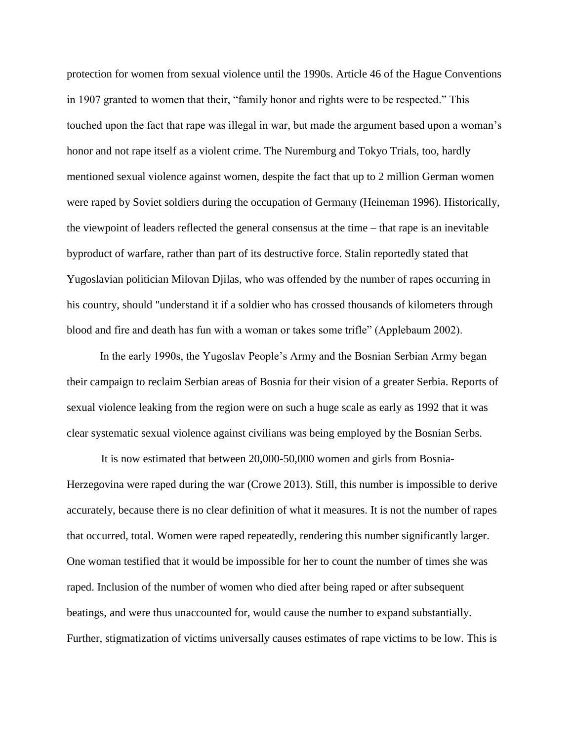protection for women from sexual violence until the 1990s. Article 46 of the Hague Conventions in 1907 granted to women that their, "family honor and rights were to be respected." This touched upon the fact that rape was illegal in war, but made the argument based upon a woman's honor and not rape itself as a violent crime. The Nuremburg and Tokyo Trials, too, hardly mentioned sexual violence against women, despite the fact that up to 2 million German women were raped by Soviet soldiers during the occupation of Germany (Heineman 1996). Historically, the viewpoint of leaders reflected the general consensus at the time – that rape is an inevitable byproduct of warfare, rather than part of its destructive force. Stalin reportedly stated that Yugoslavian politician Milovan Djilas, who was offended by the number of rapes occurring in his country, should "understand it if a soldier who has crossed thousands of kilometers through blood and fire and death has fun with a woman or takes some trifle" (Applebaum 2002).

In the early 1990s, the Yugoslav People's Army and the Bosnian Serbian Army began their campaign to reclaim Serbian areas of Bosnia for their vision of a greater Serbia. Reports of sexual violence leaking from the region were on such a huge scale as early as 1992 that it was clear systematic sexual violence against civilians was being employed by the Bosnian Serbs.

It is now estimated that between 20,000-50,000 women and girls from Bosnia-Herzegovina were raped during the war (Crowe 2013). Still, this number is impossible to derive accurately, because there is no clear definition of what it measures. It is not the number of rapes that occurred, total. Women were raped repeatedly, rendering this number significantly larger. One woman testified that it would be impossible for her to count the number of times she was raped. Inclusion of the number of women who died after being raped or after subsequent beatings, and were thus unaccounted for, would cause the number to expand substantially. Further, stigmatization of victims universally causes estimates of rape victims to be low. This is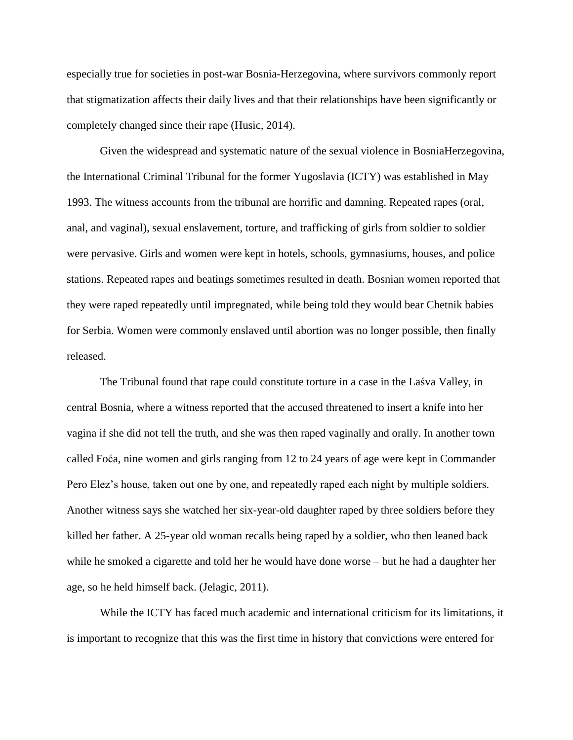especially true for societies in post-war Bosnia-Herzegovina, where survivors commonly report that stigmatization affects their daily lives and that their relationships have been significantly or completely changed since their rape (Husic, 2014).

Given the widespread and systematic nature of the sexual violence in BosniaHerzegovina, the International Criminal Tribunal for the former Yugoslavia (ICTY) was established in May 1993. The witness accounts from the tribunal are horrific and damning. Repeated rapes (oral, anal, and vaginal), sexual enslavement, torture, and trafficking of girls from soldier to soldier were pervasive. Girls and women were kept in hotels, schools, gymnasiums, houses, and police stations. Repeated rapes and beatings sometimes resulted in death. Bosnian women reported that they were raped repeatedly until impregnated, while being told they would bear Chetnik babies for Serbia. Women were commonly enslaved until abortion was no longer possible, then finally released.

The Tribunal found that rape could constitute torture in a case in the Laśva Valley, in central Bosnia, where a witness reported that the accused threatened to insert a knife into her vagina if she did not tell the truth, and she was then raped vaginally and orally. In another town called Foća, nine women and girls ranging from 12 to 24 years of age were kept in Commander Pero Elez's house, taken out one by one, and repeatedly raped each night by multiple soldiers. Another witness says she watched her six-year-old daughter raped by three soldiers before they killed her father. A 25-year old woman recalls being raped by a soldier, who then leaned back while he smoked a cigarette and told her he would have done worse – but he had a daughter her age, so he held himself back. (Jelagic, 2011).

While the ICTY has faced much academic and international criticism for its limitations, it is important to recognize that this was the first time in history that convictions were entered for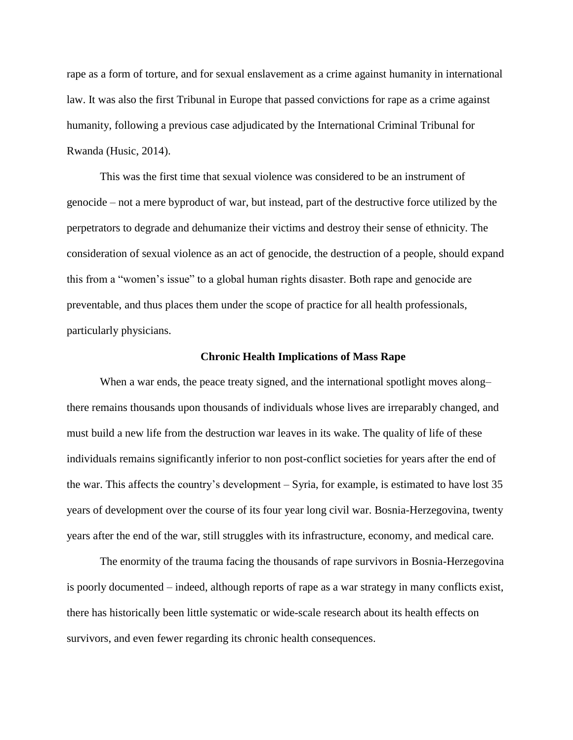rape as a form of torture, and for sexual enslavement as a crime against humanity in international law. It was also the first Tribunal in Europe that passed convictions for rape as a crime against humanity, following a previous case adjudicated by the International Criminal Tribunal for Rwanda (Husic, 2014).

This was the first time that sexual violence was considered to be an instrument of genocide – not a mere byproduct of war, but instead, part of the destructive force utilized by the perpetrators to degrade and dehumanize their victims and destroy their sense of ethnicity. The consideration of sexual violence as an act of genocide, the destruction of a people, should expand this from a "women's issue" to a global human rights disaster. Both rape and genocide are preventable, and thus places them under the scope of practice for all health professionals, particularly physicians.

#### **Chronic Health Implications of Mass Rape**

When a war ends, the peace treaty signed, and the international spotlight moves along– there remains thousands upon thousands of individuals whose lives are irreparably changed, and must build a new life from the destruction war leaves in its wake. The quality of life of these individuals remains significantly inferior to non post-conflict societies for years after the end of the war. This affects the country's development – Syria, for example, is estimated to have lost 35 years of development over the course of its four year long civil war. Bosnia-Herzegovina, twenty years after the end of the war, still struggles with its infrastructure, economy, and medical care.

The enormity of the trauma facing the thousands of rape survivors in Bosnia-Herzegovina is poorly documented – indeed, although reports of rape as a war strategy in many conflicts exist, there has historically been little systematic or wide-scale research about its health effects on survivors, and even fewer regarding its chronic health consequences.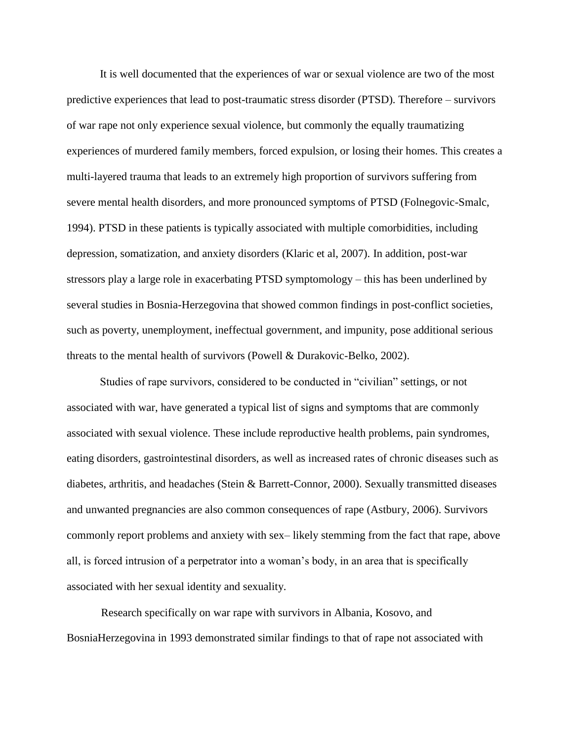It is well documented that the experiences of war or sexual violence are two of the most predictive experiences that lead to post-traumatic stress disorder (PTSD). Therefore – survivors of war rape not only experience sexual violence, but commonly the equally traumatizing experiences of murdered family members, forced expulsion, or losing their homes. This creates a multi-layered trauma that leads to an extremely high proportion of survivors suffering from severe mental health disorders, and more pronounced symptoms of PTSD (Folnegovic-Smalc, 1994). PTSD in these patients is typically associated with multiple comorbidities, including depression, somatization, and anxiety disorders (Klaric et al, 2007). In addition, post-war stressors play a large role in exacerbating PTSD symptomology – this has been underlined by several studies in Bosnia-Herzegovina that showed common findings in post-conflict societies, such as poverty, unemployment, ineffectual government, and impunity, pose additional serious threats to the mental health of survivors (Powell & Durakovic-Belko, 2002).

Studies of rape survivors, considered to be conducted in "civilian" settings, or not associated with war, have generated a typical list of signs and symptoms that are commonly associated with sexual violence. These include reproductive health problems, pain syndromes, eating disorders, gastrointestinal disorders, as well as increased rates of chronic diseases such as diabetes, arthritis, and headaches (Stein & Barrett-Connor, 2000). Sexually transmitted diseases and unwanted pregnancies are also common consequences of rape (Astbury, 2006). Survivors commonly report problems and anxiety with sex– likely stemming from the fact that rape, above all, is forced intrusion of a perpetrator into a woman's body, in an area that is specifically associated with her sexual identity and sexuality.

Research specifically on war rape with survivors in Albania, Kosovo, and BosniaHerzegovina in 1993 demonstrated similar findings to that of rape not associated with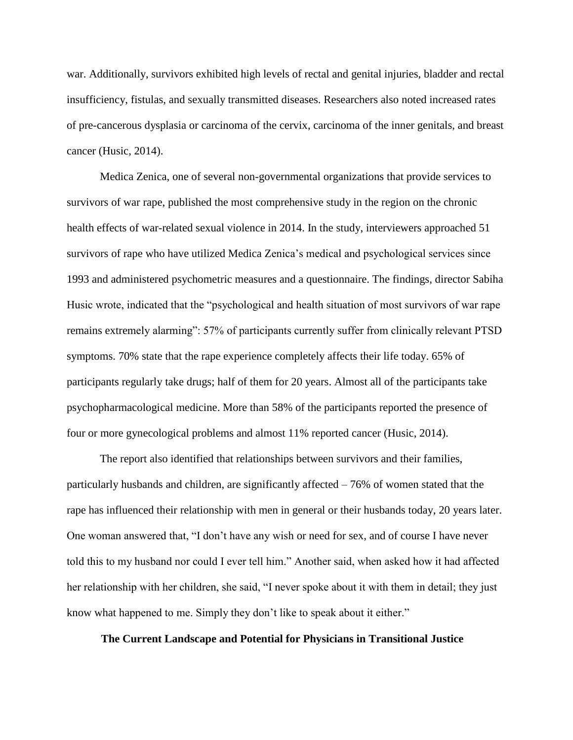war. Additionally, survivors exhibited high levels of rectal and genital injuries, bladder and rectal insufficiency, fistulas, and sexually transmitted diseases. Researchers also noted increased rates of pre-cancerous dysplasia or carcinoma of the cervix, carcinoma of the inner genitals, and breast cancer (Husic, 2014).

Medica Zenica, one of several non-governmental organizations that provide services to survivors of war rape, published the most comprehensive study in the region on the chronic health effects of war-related sexual violence in 2014. In the study, interviewers approached 51 survivors of rape who have utilized Medica Zenica's medical and psychological services since 1993 and administered psychometric measures and a questionnaire. The findings, director Sabiha Husic wrote, indicated that the "psychological and health situation of most survivors of war rape remains extremely alarming": 57% of participants currently suffer from clinically relevant PTSD symptoms. 70% state that the rape experience completely affects their life today. 65% of participants regularly take drugs; half of them for 20 years. Almost all of the participants take psychopharmacological medicine. More than 58% of the participants reported the presence of four or more gynecological problems and almost 11% reported cancer (Husic, 2014).

The report also identified that relationships between survivors and their families, particularly husbands and children, are significantly affected – 76% of women stated that the rape has influenced their relationship with men in general or their husbands today, 20 years later. One woman answered that, "I don't have any wish or need for sex, and of course I have never told this to my husband nor could I ever tell him." Another said, when asked how it had affected her relationship with her children, she said, "I never spoke about it with them in detail; they just know what happened to me. Simply they don't like to speak about it either."

# **The Current Landscape and Potential for Physicians in Transitional Justice**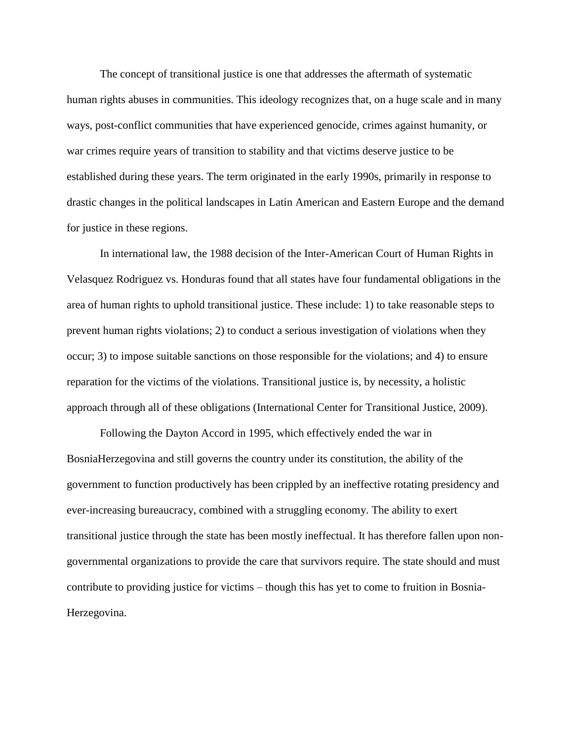The concept of transitional justice is one that addresses the aftermath of systematic human rights abuses in communities. This ideology recognizes that, on a huge scale and in many ways, post-conflict communities that have experienced genocide, crimes against humanity, or war crimes require years of transition to stability and that victims deserve justice to be established during these years. The term originated in the early 1990s, primarily in response to drastic changes in the political landscapes in Latin American and Eastern Europe and the demand for justice in these regions.

In international law, the 1988 decision of the Inter-American Court of Human Rights in Velasquez Rodriguez vs. Honduras found that all states have four fundamental obligations in the area of human rights to uphold transitional justice. These include: 1) to take reasonable steps to prevent human rights violations; 2) to conduct a serious investigation of violations when they occur; 3) to impose suitable sanctions on those responsible for the violations; and 4) to ensure reparation for the victims of the violations. Transitional justice is, by necessity, a holistic approach through all of these obligations (International Center for Transitional Justice, 2009).

Following the Dayton Accord in 1995, which effectively ended the war in BosniaHerzegovina and still governs the country under its constitution, the ability of the government to function productively has been crippled by an ineffective rotating presidency and ever-increasing bureaucracy, combined with a struggling economy. The ability to exert transitional justice through the state has been mostly ineffectual. It has therefore fallen upon nongovernmental organizations to provide the care that survivors require. The state should and must contribute to providing justice for victims – though this has yet to come to fruition in Bosnia-Herzegovina.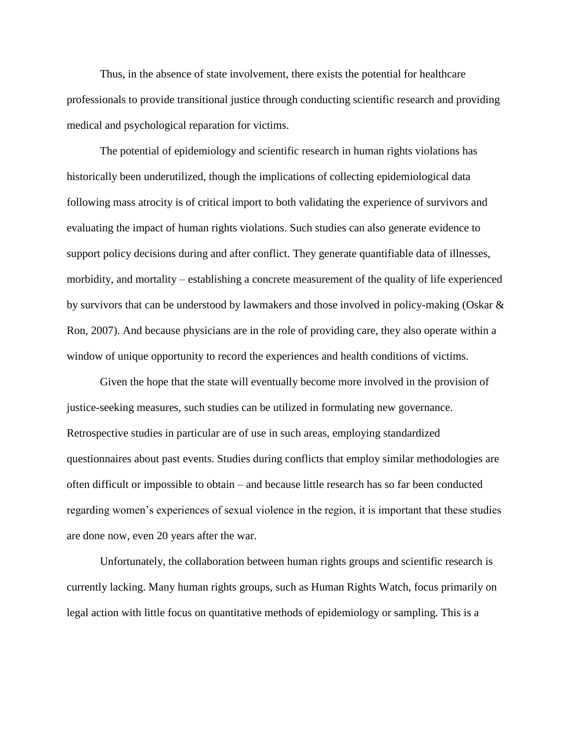Thus, in the absence of state involvement, there exists the potential for healthcare professionals to provide transitional justice through conducting scientific research and providing medical and psychological reparation for victims.

The potential of epidemiology and scientific research in human rights violations has historically been underutilized, though the implications of collecting epidemiological data following mass atrocity is of critical import to both validating the experience of survivors and evaluating the impact of human rights violations. Such studies can also generate evidence to support policy decisions during and after conflict. They generate quantifiable data of illnesses, morbidity, and mortality – establishing a concrete measurement of the quality of life experienced by survivors that can be understood by lawmakers and those involved in policy-making (Oskar & Ron, 2007). And because physicians are in the role of providing care, they also operate within a window of unique opportunity to record the experiences and health conditions of victims.

Given the hope that the state will eventually become more involved in the provision of justice-seeking measures, such studies can be utilized in formulating new governance. Retrospective studies in particular are of use in such areas, employing standardized questionnaires about past events. Studies during conflicts that employ similar methodologies are often difficult or impossible to obtain – and because little research has so far been conducted regarding women's experiences of sexual violence in the region, it is important that these studies are done now, even 20 years after the war.

Unfortunately, the collaboration between human rights groups and scientific research is currently lacking. Many human rights groups, such as Human Rights Watch, focus primarily on legal action with little focus on quantitative methods of epidemiology or sampling. This is a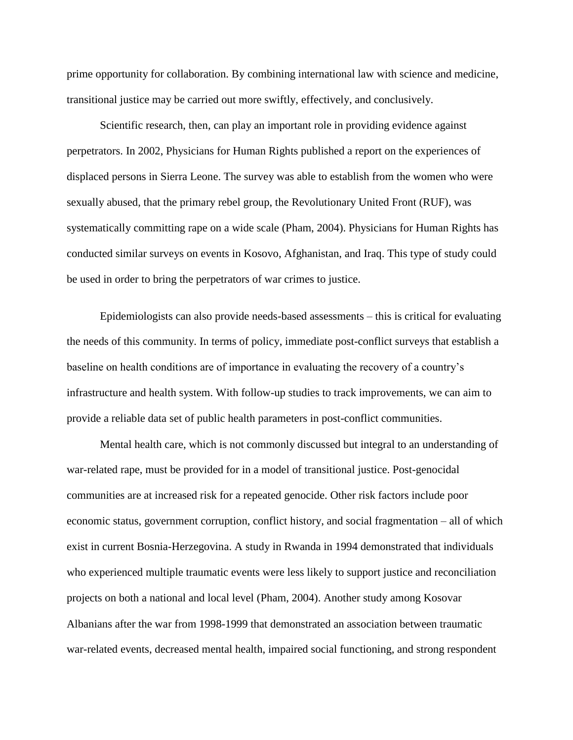prime opportunity for collaboration. By combining international law with science and medicine, transitional justice may be carried out more swiftly, effectively, and conclusively.

Scientific research, then, can play an important role in providing evidence against perpetrators. In 2002, Physicians for Human Rights published a report on the experiences of displaced persons in Sierra Leone. The survey was able to establish from the women who were sexually abused, that the primary rebel group, the Revolutionary United Front (RUF), was systematically committing rape on a wide scale (Pham, 2004). Physicians for Human Rights has conducted similar surveys on events in Kosovo, Afghanistan, and Iraq. This type of study could be used in order to bring the perpetrators of war crimes to justice.

Epidemiologists can also provide needs-based assessments – this is critical for evaluating the needs of this community. In terms of policy, immediate post-conflict surveys that establish a baseline on health conditions are of importance in evaluating the recovery of a country's infrastructure and health system. With follow-up studies to track improvements, we can aim to provide a reliable data set of public health parameters in post-conflict communities.

Mental health care, which is not commonly discussed but integral to an understanding of war-related rape, must be provided for in a model of transitional justice. Post-genocidal communities are at increased risk for a repeated genocide. Other risk factors include poor economic status, government corruption, conflict history, and social fragmentation – all of which exist in current Bosnia-Herzegovina. A study in Rwanda in 1994 demonstrated that individuals who experienced multiple traumatic events were less likely to support justice and reconciliation projects on both a national and local level (Pham, 2004). Another study among Kosovar Albanians after the war from 1998-1999 that demonstrated an association between traumatic war-related events, decreased mental health, impaired social functioning, and strong respondent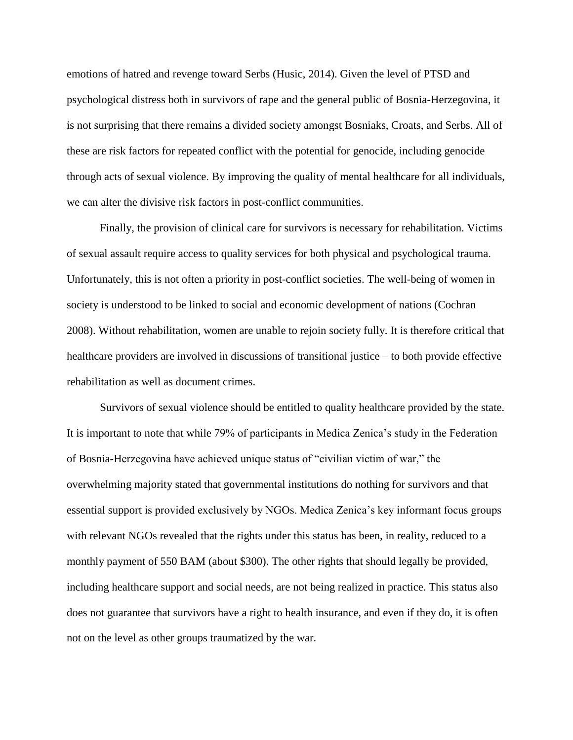emotions of hatred and revenge toward Serbs (Husic, 2014). Given the level of PTSD and psychological distress both in survivors of rape and the general public of Bosnia-Herzegovina, it is not surprising that there remains a divided society amongst Bosniaks, Croats, and Serbs. All of these are risk factors for repeated conflict with the potential for genocide, including genocide through acts of sexual violence. By improving the quality of mental healthcare for all individuals, we can alter the divisive risk factors in post-conflict communities.

Finally, the provision of clinical care for survivors is necessary for rehabilitation. Victims of sexual assault require access to quality services for both physical and psychological trauma. Unfortunately, this is not often a priority in post-conflict societies. The well-being of women in society is understood to be linked to social and economic development of nations (Cochran 2008). Without rehabilitation, women are unable to rejoin society fully. It is therefore critical that healthcare providers are involved in discussions of transitional justice – to both provide effective rehabilitation as well as document crimes.

Survivors of sexual violence should be entitled to quality healthcare provided by the state. It is important to note that while 79% of participants in Medica Zenica's study in the Federation of Bosnia-Herzegovina have achieved unique status of "civilian victim of war," the overwhelming majority stated that governmental institutions do nothing for survivors and that essential support is provided exclusively by NGOs. Medica Zenica's key informant focus groups with relevant NGOs revealed that the rights under this status has been, in reality, reduced to a monthly payment of 550 BAM (about \$300). The other rights that should legally be provided, including healthcare support and social needs, are not being realized in practice. This status also does not guarantee that survivors have a right to health insurance, and even if they do, it is often not on the level as other groups traumatized by the war.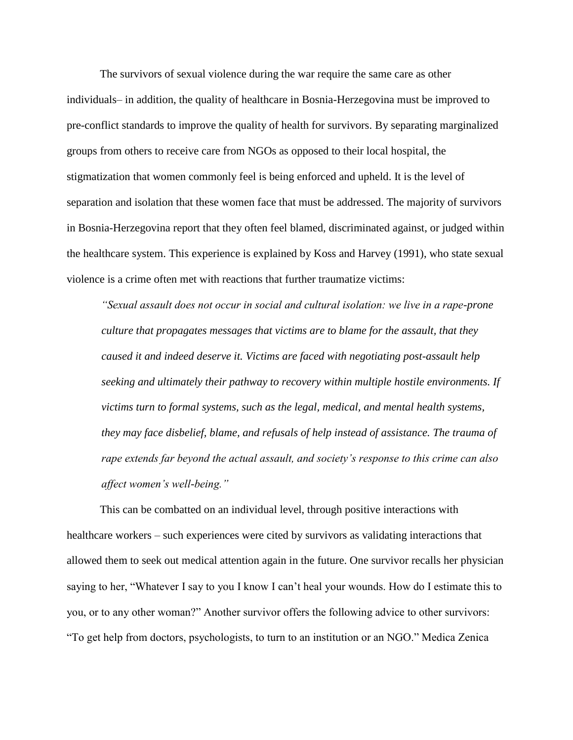The survivors of sexual violence during the war require the same care as other individuals– in addition, the quality of healthcare in Bosnia-Herzegovina must be improved to pre-conflict standards to improve the quality of health for survivors. By separating marginalized groups from others to receive care from NGOs as opposed to their local hospital, the stigmatization that women commonly feel is being enforced and upheld. It is the level of separation and isolation that these women face that must be addressed. The majority of survivors in Bosnia-Herzegovina report that they often feel blamed, discriminated against, or judged within the healthcare system. This experience is explained by Koss and Harvey (1991), who state sexual violence is a crime often met with reactions that further traumatize victims:

*"Sexual assault does not occur in social and cultural isolation: we live in a rape-prone culture that propagates messages that victims are to blame for the assault, that they caused it and indeed deserve it. Victims are faced with negotiating post-assault help seeking and ultimately their pathway to recovery within multiple hostile environments. If victims turn to formal systems, such as the legal, medical, and mental health systems, they may face disbelief, blame, and refusals of help instead of assistance. The trauma of rape extends far beyond the actual assault, and society's response to this crime can also affect women's well-being."* 

This can be combatted on an individual level, through positive interactions with healthcare workers – such experiences were cited by survivors as validating interactions that allowed them to seek out medical attention again in the future. One survivor recalls her physician saying to her, "Whatever I say to you I know I can't heal your wounds. How do I estimate this to you, or to any other woman?" Another survivor offers the following advice to other survivors: "To get help from doctors, psychologists, to turn to an institution or an NGO." Medica Zenica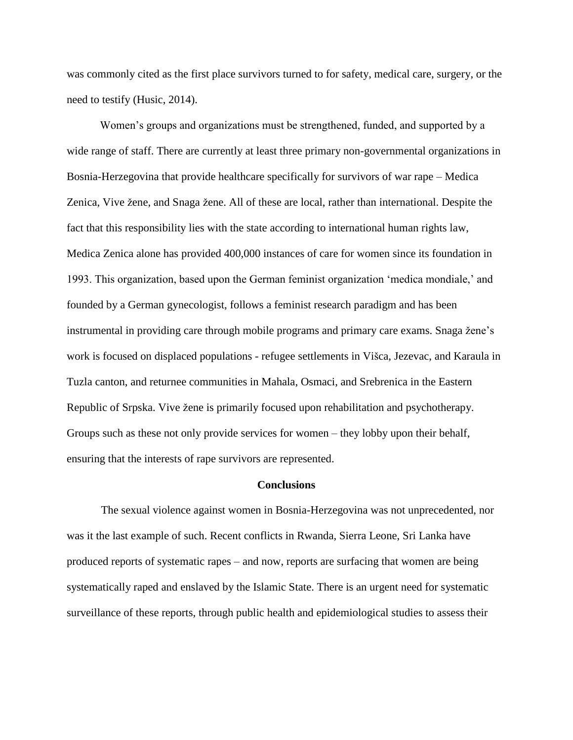was commonly cited as the first place survivors turned to for safety, medical care, surgery, or the need to testify (Husic, 2014).

Women's groups and organizations must be strengthened, funded, and supported by a wide range of staff. There are currently at least three primary non-governmental organizations in Bosnia-Herzegovina that provide healthcare specifically for survivors of war rape – Medica Zenica, Vive žene, and Snaga žene. All of these are local, rather than international. Despite the fact that this responsibility lies with the state according to international human rights law, Medica Zenica alone has provided 400,000 instances of care for women since its foundation in 1993. This organization, based upon the German feminist organization 'medica mondiale,' and founded by a German gynecologist, follows a feminist research paradigm and has been instrumental in providing care through mobile programs and primary care exams. Snaga žene's work is focused on displaced populations - refugee settlements in Višca, Jezevac, and Karaula in Tuzla canton, and returnee communities in Mahala, Osmaci, and Srebrenica in the Eastern Republic of Srpska. Vive žene is primarily focused upon rehabilitation and psychotherapy. Groups such as these not only provide services for women – they lobby upon their behalf, ensuring that the interests of rape survivors are represented.

## **Conclusions**

The sexual violence against women in Bosnia-Herzegovina was not unprecedented, nor was it the last example of such. Recent conflicts in Rwanda, Sierra Leone, Sri Lanka have produced reports of systematic rapes – and now, reports are surfacing that women are being systematically raped and enslaved by the Islamic State. There is an urgent need for systematic surveillance of these reports, through public health and epidemiological studies to assess their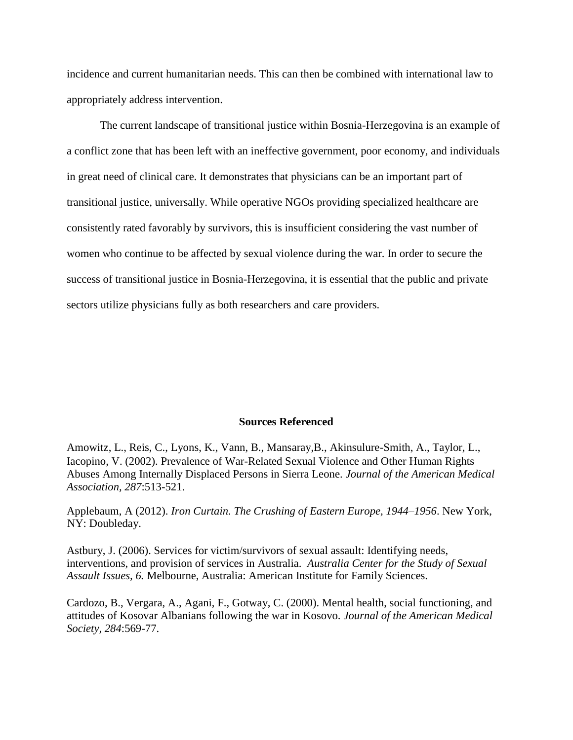incidence and current humanitarian needs. This can then be combined with international law to appropriately address intervention.

The current landscape of transitional justice within Bosnia-Herzegovina is an example of a conflict zone that has been left with an ineffective government, poor economy, and individuals in great need of clinical care. It demonstrates that physicians can be an important part of transitional justice, universally. While operative NGOs providing specialized healthcare are consistently rated favorably by survivors, this is insufficient considering the vast number of women who continue to be affected by sexual violence during the war. In order to secure the success of transitional justice in Bosnia-Herzegovina, it is essential that the public and private sectors utilize physicians fully as both researchers and care providers.

# **Sources Referenced**

Amowitz, L., Reis, C., Lyons, K., Vann, B., Mansaray,B., Akinsulure-Smith, A., Taylor, L., Iacopino, V. (2002). Prevalence of War-Related Sexual Violence and Other Human Rights Abuses Among Internally Displaced Persons in Sierra Leone. *Journal of the American Medical Association, 287*:513-521.

Applebaum, A (2012). *Iron Curtain. The Crushing of Eastern Europe, 1944–1956*. New York, NY: Doubleday.

Astbury, J. (2006). Services for victim/survivors of sexual assault: Identifying needs, interventions, and provision of services in Australia. *Australia Center for the Study of Sexual Assault Issues, 6.* Melbourne, Australia: American Institute for Family Sciences.

Cardozo, B., Vergara, A., Agani, F., Gotway, C. (2000). Mental health, social functioning, and attitudes of Kosovar Albanians following the war in Kosovo. *Journal of the American Medical Society, 284*:569-77.